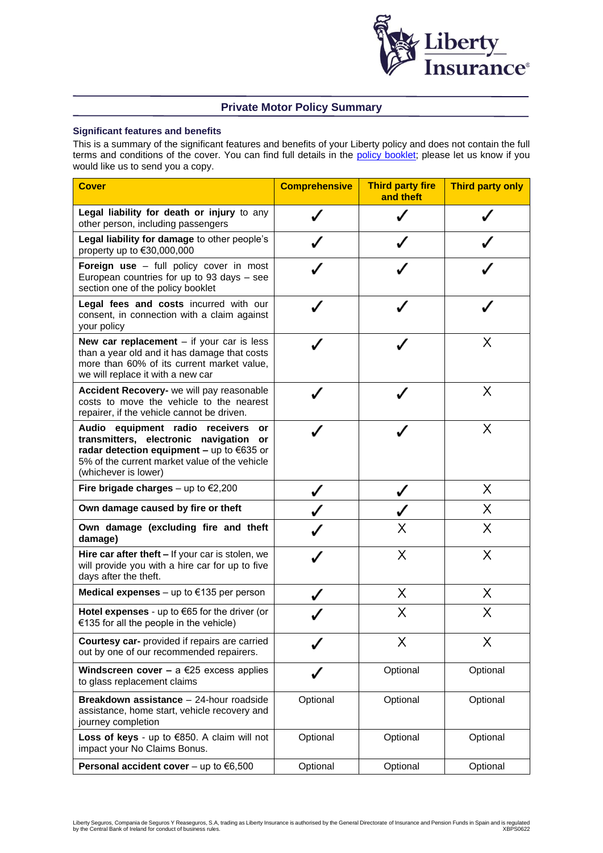

# **Private Motor Policy Summary**

### **Significant features and benefits**

This is a summary of the significant features and benefits of your Liberty policy and does not contain the full terms and conditions of the cover. You can find full details in the [policy booklet;](https://www.libertyinsurance.ie/manage-my-policy/policy-documents) please let us know if you would like us to send you a copy.

| <b>Cover</b>                                                                                                                                                                                                  | <b>Comprehensive</b> | <b>Third party fire</b><br>and theft | <b>Third party only</b> |
|---------------------------------------------------------------------------------------------------------------------------------------------------------------------------------------------------------------|----------------------|--------------------------------------|-------------------------|
| Legal liability for death or injury to any<br>other person, including passengers                                                                                                                              |                      |                                      |                         |
| Legal liability for damage to other people's<br>property up to $€30,000,000$                                                                                                                                  |                      |                                      |                         |
| Foreign use - full policy cover in most<br>European countries for up to 93 days - see<br>section one of the policy booklet                                                                                    |                      |                                      |                         |
| Legal fees and costs incurred with our<br>consent, in connection with a claim against<br>your policy                                                                                                          |                      |                                      |                         |
| New car replacement $-$ if your car is less<br>than a year old and it has damage that costs<br>more than 60% of its current market value,<br>we will replace it with a new car                                |                      |                                      | Х                       |
| Accident Recovery- we will pay reasonable<br>costs to move the vehicle to the nearest<br>repairer, if the vehicle cannot be driven.                                                                           |                      |                                      | Χ                       |
| Audio equipment radio<br>receivers<br>or<br>transmitters, electronic navigation<br>or<br>radar detection equipment - up to $€635$ or<br>5% of the current market value of the vehicle<br>(whichever is lower) |                      |                                      | Χ                       |
| Fire brigade charges $-$ up to $\epsilon$ 2,200                                                                                                                                                               |                      |                                      | Χ                       |
| Own damage caused by fire or theft                                                                                                                                                                            |                      |                                      | Χ                       |
| Own damage (excluding fire and theft<br>damage)                                                                                                                                                               |                      | X                                    | Χ                       |
| Hire car after theft - If your car is stolen, we<br>will provide you with a hire car for up to five<br>days after the theft.                                                                                  |                      | X                                    | X                       |
| Medical expenses – up to $\epsilon$ 135 per person                                                                                                                                                            |                      | X                                    | Χ                       |
| Hotel expenses - up to $65$ for the driver (or<br>€135 for all the people in the vehicle)                                                                                                                     |                      | Χ                                    | Χ                       |
| Courtesy car- provided if repairs are carried<br>out by one of our recommended repairers.                                                                                                                     |                      | Χ                                    | Χ                       |
| Windscreen cover - a $\epsilon$ 25 excess applies<br>to glass replacement claims                                                                                                                              | ✓                    | Optional                             | Optional                |
| Breakdown assistance - 24-hour roadside<br>assistance, home start, vehicle recovery and<br>journey completion                                                                                                 | Optional             | Optional                             | Optional                |
| Loss of keys - up to €850. A claim will not<br>impact your No Claims Bonus.                                                                                                                                   | Optional             | Optional                             | Optional                |
| <b>Personal accident cover</b> – up to $€6,500$                                                                                                                                                               | Optional             | Optional                             | Optional                |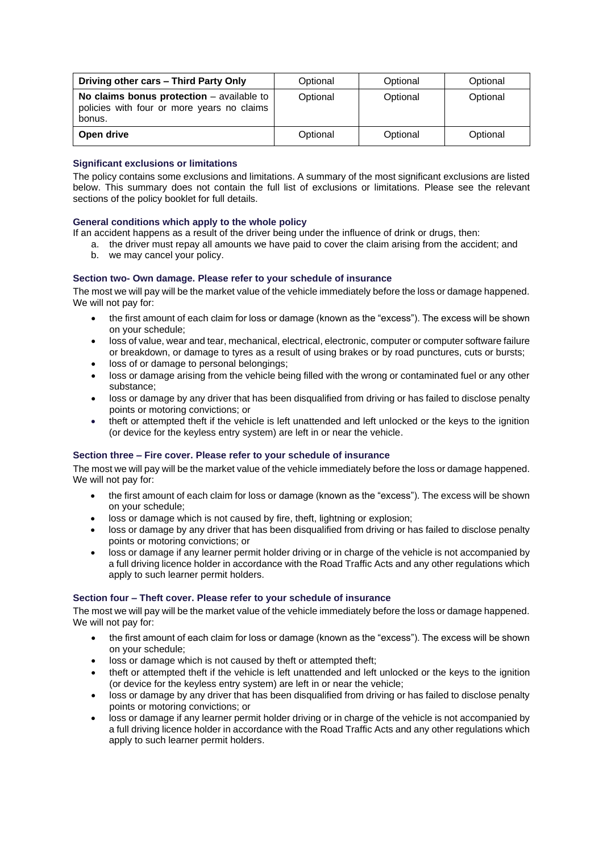| Driving other cars - Third Party Only                                                               | Optional | Optional | Optional |
|-----------------------------------------------------------------------------------------------------|----------|----------|----------|
| No claims bonus protection $-$ available to<br>policies with four or more years no claims<br>bonus. | Optional | Optional | Optional |
| Open drive                                                                                          | Optional | Optional | Optional |

### **Significant exclusions or limitations**

The policy contains some exclusions and limitations. A summary of the most significant exclusions are listed below. This summary does not contain the full list of exclusions or limitations. Please see the relevant sections of the policy booklet for full details.

# **General conditions which apply to the whole policy**

If an accident happens as a result of the driver being under the influence of drink or drugs, then:

- a. the driver must repay all amounts we have paid to cover the claim arising from the accident; and b. we may cancel your policy.
- 

# **Section two- Own damage. Please refer to your schedule of insurance**

The most we will pay will be the market value of the vehicle immediately before the loss or damage happened. We will not pay for:

- the first amount of each claim for loss or damage (known as the "excess"). The excess will be shown on your schedule;
- loss of value, wear and tear, mechanical, electrical, electronic, computer or computer software failure or breakdown, or damage to tyres as a result of using brakes or by road punctures, cuts or bursts;
- loss of or damage to personal belongings:
- loss or damage arising from the vehicle being filled with the wrong or contaminated fuel or any other substance;
- loss or damage by any driver that has been disqualified from driving or has failed to disclose penalty points or motoring convictions; or
- theft or attempted theft if the vehicle is left unattended and left unlocked or the keys to the ignition (or device for the keyless entry system) are left in or near the vehicle.

### **Section three – Fire cover. Please refer to your schedule of insurance**

The most we will pay will be the market value of the vehicle immediately before the loss or damage happened. We will not pay for:

- the first amount of each claim for loss or damage (known as the "excess"). The excess will be shown on your schedule;
- loss or damage which is not caused by fire, theft, lightning or explosion;
- loss or damage by any driver that has been disqualified from driving or has failed to disclose penalty points or motoring convictions; or
- loss or damage if any learner permit holder driving or in charge of the vehicle is not accompanied by a full driving licence holder in accordance with the Road Traffic Acts and any other regulations which apply to such learner permit holders.

### **Section four – Theft cover. Please refer to your schedule of insurance**

The most we will pay will be the market value of the vehicle immediately before the loss or damage happened. We will not pay for:

- the first amount of each claim for loss or damage (known as the "excess"). The excess will be shown on your schedule;
- loss or damage which is not caused by theft or attempted theft:
- theft or attempted theft if the vehicle is left unattended and left unlocked or the keys to the ignition (or device for the keyless entry system) are left in or near the vehicle;
- loss or damage by any driver that has been disqualified from driving or has failed to disclose penalty points or motoring convictions; or
- loss or damage if any learner permit holder driving or in charge of the vehicle is not accompanied by a full driving licence holder in accordance with the Road Traffic Acts and any other regulations which apply to such learner permit holders.